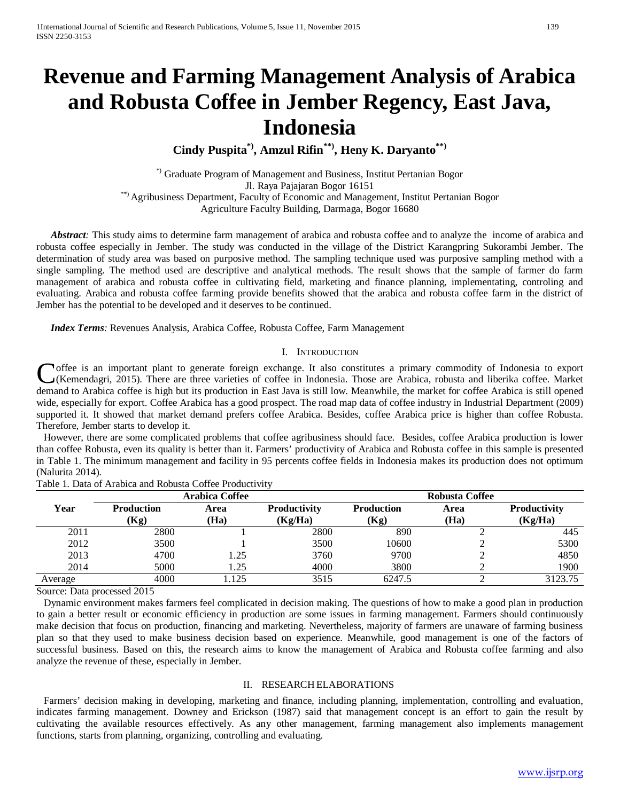# **Revenue and Farming Management Analysis of Arabica and Robusta Coffee in Jember Regency, East Java, Indonesia**

**Cindy Puspita\*), Amzul Rifin\*\*), Heny K. Daryanto\*\*)**

\*) Graduate Program of Management and Business, Institut Pertanian Bogor Jl. Raya Pajajaran Bogor 16151 \*\*) Agribusiness Department, Faculty of Economic and Management, Institut Pertanian Bogor Agriculture Faculty Building, Darmaga, Bogor 16680

*Abstract*: This study aims to determine farm management of arabica and robusta coffee and to analyze the income of arabica and robusta coffee especially in Jember. The study was conducted in the village of the District Karangpring Sukorambi Jember. The determination of study area was based on purposive method. The sampling technique used was purposive sampling method with a single sampling. The method used are descriptive and analytical methods. The result shows that the sample of farmer do farm management of arabica and robusta coffee in cultivating field, marketing and finance planning, implementating, controling and evaluating. Arabica and robusta coffee farming provide benefits showed that the arabica and robusta coffee farm in the district of Jember has the potential to be developed and it deserves to be continued.

*Index Terms:* Revenues Analysis, Arabica Coffee, Robusta Coffee, Farm Management

#### I. INTRODUCTION

**T** offee is an important plant to generate foreign exchange. It also constitutes a primary commodity of Indonesia to export (Kemendagri, 2015). There are three varieties of coffee in Indonesia. Those are Arabica, robusta and liberika coffee. Market Coffee is an important plant to generate foreign exchange. It also constitutes a primary commodity of Indonesia to export (Kemendagri, 2015). There are three varieties of coffee in Indonesia. Those are Arabica, robusta and wide, especially for export. Coffee Arabica has a good prospect. The road map data of coffee industry in Industrial Department (2009) supported it. It showed that market demand prefers coffee Arabica. Besides, coffee Arabica price is higher than coffee Robusta. Therefore, Jember starts to develop it.

However, there are some complicated problems that coffee agribusiness should face. Besides, coffee Arabica production is lower than coffee Robusta, even its quality is better than it. Farmers' productivity of Arabica and Robusta coffee in this sample is presented in Table 1. The minimum management and facility in 95 percents coffee fields in Indonesia makes its production does not optimum (Nalurita 2014).

|         |                           | <b>Arabica Coffee</b> |                                | <b>Robusta Coffee</b>     |              |                                |  |
|---------|---------------------------|-----------------------|--------------------------------|---------------------------|--------------|--------------------------------|--|
| Year    | <b>Production</b><br>(Kg) | Area<br>(Ha)          | <b>Productivity</b><br>(Kg/Ha) | <b>Production</b><br>(Kg) | Area<br>(Ha) | <b>Productivity</b><br>(Kg/Ha) |  |
|         |                           |                       |                                |                           |              |                                |  |
| 2011    | 2800                      |                       | 2800                           | 890                       |              | 445                            |  |
| 2012    | 3500                      |                       | 3500                           | 10600                     |              | 5300                           |  |
| 2013    | 4700                      | l.25                  | 3760                           | 9700                      |              | 4850                           |  |
| 2014    | 5000                      | .25                   | 4000                           | 3800                      |              | 1900                           |  |
| Average | 4000                      | 125                   | 3515                           | 6247.5                    |              | 3123.75                        |  |

Table 1. Data of Arabica and Robusta Coffee Productivity

Source: Data processed 2015

Dynamic environment makes farmers feel complicated in decision making. The questions of how to make a good plan in production to gain a better result or economic efficiency in production are some issues in farming management. Farmers should continuously make decision that focus on production, financing and marketing. Nevertheless, majority of farmers are unaware of farming business plan so that they used to make business decision based on experience. Meanwhile, good management is one of the factors of successful business. Based on this, the research aims to know the management of Arabica and Robusta coffee farming and also analyze the revenue of these, especially in Jember.

## II. RESEARCH ELABORATIONS

Farmers' decision making in developing, marketing and finance, including planning, implementation, controlling and evaluation, indicates farming management. Downey and Erickson (1987) said that management concept is an effort to gain the result by cultivating the available resources effectively. As any other management, farming management also implements management functions, starts from planning, organizing, controlling and evaluating.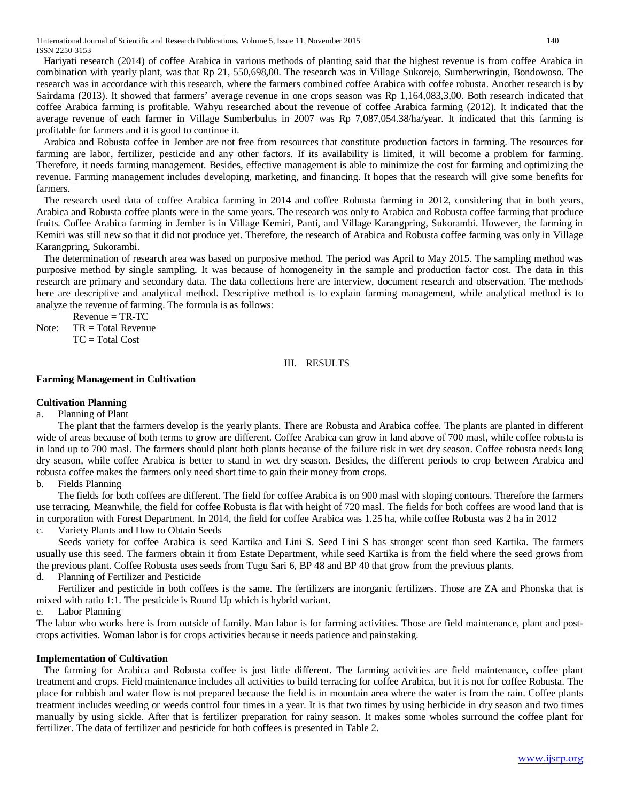Hariyati research (2014) of coffee Arabica in various methods of planting said that the highest revenue is from coffee Arabica in combination with yearly plant, was that Rp 21, 550,698,00. The research was in Village Sukorejo, Sumberwringin, Bondowoso. The research was in accordance with this research, where the farmers combined coffee Arabica with coffee robusta. Another research is by Sairdama (2013). It showed that farmers' average revenue in one crops season was Rp 1,164,083,3,00. Both research indicated that coffee Arabica farming is profitable. Wahyu researched about the revenue of coffee Arabica farming (2012). It indicated that the average revenue of each farmer in Village Sumberbulus in 2007 was Rp 7,087,054.38/ha/year. It indicated that this farming is profitable for farmers and it is good to continue it.

Arabica and Robusta coffee in Jember are not free from resources that constitute production factors in farming. The resources for farming are labor, fertilizer, pesticide and any other factors. If its availability is limited, it will become a problem for farming. Therefore, it needs farming management. Besides, effective management is able to minimize the cost for farming and optimizing the revenue. Farming management includes developing, marketing, and financing. It hopes that the research will give some benefits for farmers.

The research used data of coffee Arabica farming in 2014 and coffee Robusta farming in 2012, considering that in both years, Arabica and Robusta coffee plants were in the same years. The research was only to Arabica and Robusta coffee farming that produce fruits. Coffee Arabica farming in Jember is in Village Kemiri, Panti, and Village Karangpring, Sukorambi. However, the farming in Kemiri was still new so that it did not produce yet. Therefore, the research of Arabica and Robusta coffee farming was only in Village Karangpring, Sukorambi.

The determination of research area was based on purposive method. The period was April to May 2015. The sampling method was purposive method by single sampling. It was because of homogeneity in the sample and production factor cost. The data in this research are primary and secondary data. The data collections here are interview, document research and observation. The methods here are descriptive and analytical method. Descriptive method is to explain farming management, while analytical method is to analyze the revenue of farming. The formula is as follows:

 $Re$ venue = TR-TC Note: TR = Total Revenue  $TC = Total Cost$ 

III. RESULTS

## **Farming Management in Cultivation**

## **Cultivation Planning**

a. Planning of Plant

The plant that the farmers develop is the yearly plants. There are Robusta and Arabica coffee. The plants are planted in different wide of areas because of both terms to grow are different. Coffee Arabica can grow in land above of 700 masl, while coffee robusta is in land up to 700 masl. The farmers should plant both plants because of the failure risk in wet dry season. Coffee robusta needs long dry season, while coffee Arabica is better to stand in wet dry season. Besides, the different periods to crop between Arabica and robusta coffee makes the farmers only need short time to gain their money from crops.

b. Fields Planning

The fields for both coffees are different. The field for coffee Arabica is on 900 masl with sloping contours. Therefore the farmers use terracing. Meanwhile, the field for coffee Robusta is flat with height of 720 masl. The fields for both coffees are wood land that is in corporation with Forest Department. In 2014, the field for coffee Arabica was 1.25 ha, while coffee Robusta was 2 ha in 2012

Variety Plants and How to Obtain Seeds

Seeds variety for coffee Arabica is seed Kartika and Lini S. Seed Lini S has stronger scent than seed Kartika. The farmers usually use this seed. The farmers obtain it from Estate Department, while seed Kartika is from the field where the seed grows from the previous plant. Coffee Robusta uses seeds from Tugu Sari 6, BP 48 and BP 40 that grow from the previous plants.

d. Planning of Fertilizer and Pesticide

Fertilizer and pesticide in both coffees is the same. The fertilizers are inorganic fertilizers. Those are ZA and Phonska that is mixed with ratio 1:1. The pesticide is Round Up which is hybrid variant.

e. Labor Planning

The labor who works here is from outside of family. Man labor is for farming activities. Those are field maintenance, plant and postcrops activities. Woman labor is for crops activities because it needs patience and painstaking.

#### **Implementation of Cultivation**

The farming for Arabica and Robusta coffee is just little different. The farming activities are field maintenance, coffee plant treatment and crops. Field maintenance includes all activities to build terracing for coffee Arabica, but it is not for coffee Robusta. The place for rubbish and water flow is not prepared because the field is in mountain area where the water is from the rain. Coffee plants treatment includes weeding or weeds control four times in a year. It is that two times by using herbicide in dry season and two times manually by using sickle. After that is fertilizer preparation for rainy season. It makes some wholes surround the coffee plant for fertilizer. The data of fertilizer and pesticide for both coffees is presented in Table 2.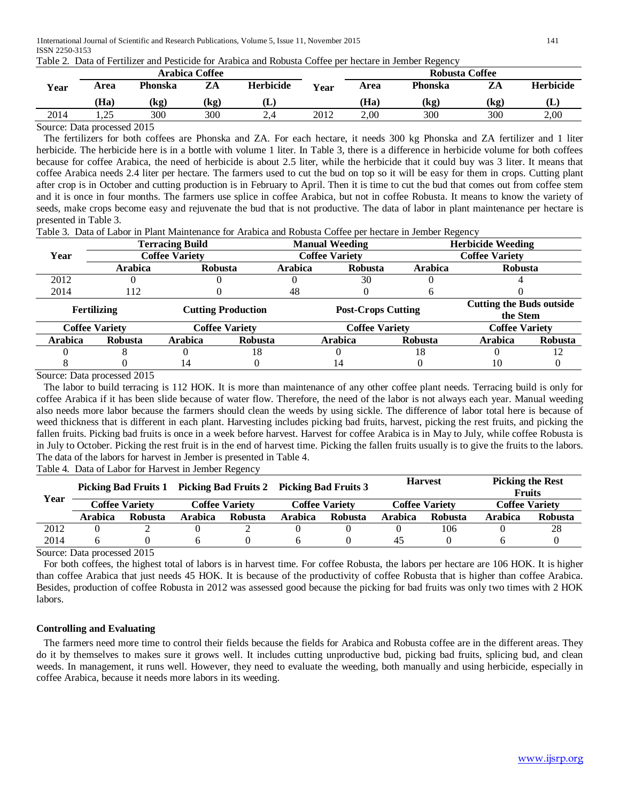| Table 2. Data of Fertilizer and Pesticide for Arabica and Robusta Coffee per hectare in Jember Regency |
|--------------------------------------------------------------------------------------------------------|
|--------------------------------------------------------------------------------------------------------|

|      |                                             |         | <b>Arabica Coffee</b> |                  |             | <b>Robusta Coffee</b> |         |      |                  |  |
|------|---------------------------------------------|---------|-----------------------|------------------|-------------|-----------------------|---------|------|------------------|--|
| Year | Area                                        | Phonska | ZA                    | <b>Herbicide</b> | <b>Year</b> | Area                  | Phonska | ZA   | <b>Herbicide</b> |  |
|      | (Ha)                                        | (kg)    | (kg)                  | Œ.               |             | (Ha)                  | (kg)    | (kg) | Œ                |  |
| 2014 | ر ے .                                       | 300     | 300                   |                  | 2012        | 2.00                  | 300     | 300  | 2,00             |  |
|      | $\Omega_{\text{out}}$ Dete nucleared $2015$ |         |                       |                  |             |                       |         |      |                  |  |

Source: Data processed 2015

The fertilizers for both coffees are Phonska and ZA. For each hectare, it needs 300 kg Phonska and ZA fertilizer and 1 liter herbicide. The herbicide here is in a bottle with volume 1 liter. In Table 3, there is a difference in herbicide volume for both coffees because for coffee Arabica, the need of herbicide is about 2.5 liter, while the herbicide that it could buy was 3 liter. It means that coffee Arabica needs 2.4 liter per hectare. The farmers used to cut the bud on top so it will be easy for them in crops. Cutting plant after crop is in October and cutting production is in February to April. Then it is time to cut the bud that comes out from coffee stem and it is once in four months. The farmers use splice in coffee Arabica, but not in coffee Robusta. It means to know the variety of seeds, make crops become easy and rejuvenate the bud that is not productive. The data of labor in plant maintenance per hectare is presented in Table 3.

Table 3. Data of Labor in Plant Maintenance for Arabica and Robusta Coffee per hectare in Jember Regency

|                       |                | <b>Terracing Build</b>    |                       |                | <b>Manual Weeding</b>     |                | <b>Herbicide Weeding</b>                    |                |  |  |
|-----------------------|----------------|---------------------------|-----------------------|----------------|---------------------------|----------------|---------------------------------------------|----------------|--|--|
| Year                  |                | <b>Coffee Variety</b>     |                       |                | <b>Coffee Variety</b>     |                | <b>Coffee Variety</b>                       |                |  |  |
|                       | <b>Arabica</b> | <b>Robusta</b>            |                       | <b>Arabica</b> | <b>Robusta</b>            | <b>Arabica</b> | <b>Robusta</b>                              |                |  |  |
| 2012                  |                |                           |                       |                | 30                        |                |                                             |                |  |  |
| 2014                  | 112            |                           |                       | 48             |                           |                |                                             |                |  |  |
| Fertilizing           |                | <b>Cutting Production</b> |                       |                | <b>Post-Crops Cutting</b> |                | <b>Cutting the Buds outside</b><br>the Stem |                |  |  |
| <b>Coffee Variety</b> |                |                           | <b>Coffee Variety</b> |                | <b>Coffee Variety</b>     |                | <b>Coffee Variety</b>                       |                |  |  |
| Arabica               | <b>Robusta</b> | Arabica                   | Robusta               |                | <b>Arabica</b>            | <b>Robusta</b> | <b>Arabica</b>                              | <b>Robusta</b> |  |  |
|                       |                |                           | 18                    |                |                           | 18             |                                             | 12             |  |  |
|                       |                | 14                        |                       |                | 14                        |                |                                             |                |  |  |

Source: Data processed 2015

The labor to build terracing is 112 HOK. It is more than maintenance of any other coffee plant needs. Terracing build is only for coffee Arabica if it has been slide because of water flow. Therefore, the need of the labor is not always each year. Manual weeding also needs more labor because the farmers should clean the weeds by using sickle. The difference of labor total here is because of weed thickness that is different in each plant. Harvesting includes picking bad fruits, harvest, picking the rest fruits, and picking the fallen fruits. Picking bad fruits is once in a week before harvest. Harvest for coffee Arabica is in May to July, while coffee Robusta is in July to October. Picking the rest fruit is in the end of harvest time. Picking the fallen fruits usually is to give the fruits to the labors. The data of the labors for harvest in Jember is presented in Table 4.

Table 4. Data of Labor for Harvest in Jember Regency

|      |         | <b>Picking Bad Fruits 1</b> |         |                       | Picking Bad Fruits 2 Picking Bad Fruits 3 |                       |         | <b>Harvest</b>        | <b>Picking the Rest</b><br><b>Fruits</b> |         |
|------|---------|-----------------------------|---------|-----------------------|-------------------------------------------|-----------------------|---------|-----------------------|------------------------------------------|---------|
| Year |         | <b>Coffee Variety</b>       |         | <b>Coffee Variety</b> |                                           | <b>Coffee Variety</b> |         | <b>Coffee Variety</b> | <b>Coffee Varietv</b>                    |         |
|      | Arabica | <b>Robusta</b>              | Arabica | <b>Robusta</b>        | Arabica                                   | <b>Robusta</b>        | Arabica | <b>Robusta</b>        | Arabica                                  | Robusta |
| 2012 |         |                             |         |                       |                                           |                       |         | 106                   |                                          | 28      |
| 2014 |         |                             |         |                       |                                           |                       | 45      |                       |                                          |         |

Source: Data processed 2015

For both coffees, the highest total of labors is in harvest time. For coffee Robusta, the labors per hectare are 106 HOK. It is higher than coffee Arabica that just needs 45 HOK. It is because of the productivity of coffee Robusta that is higher than coffee Arabica. Besides, production of coffee Robusta in 2012 was assessed good because the picking for bad fruits was only two times with 2 HOK labors.

#### **Controlling and Evaluating**

The farmers need more time to control their fields because the fields for Arabica and Robusta coffee are in the different areas. They do it by themselves to makes sure it grows well. It includes cutting unproductive bud, picking bad fruits, splicing bud, and clean weeds. In management, it runs well. However, they need to evaluate the weeding, both manually and using herbicide, especially in coffee Arabica, because it needs more labors in its weeding.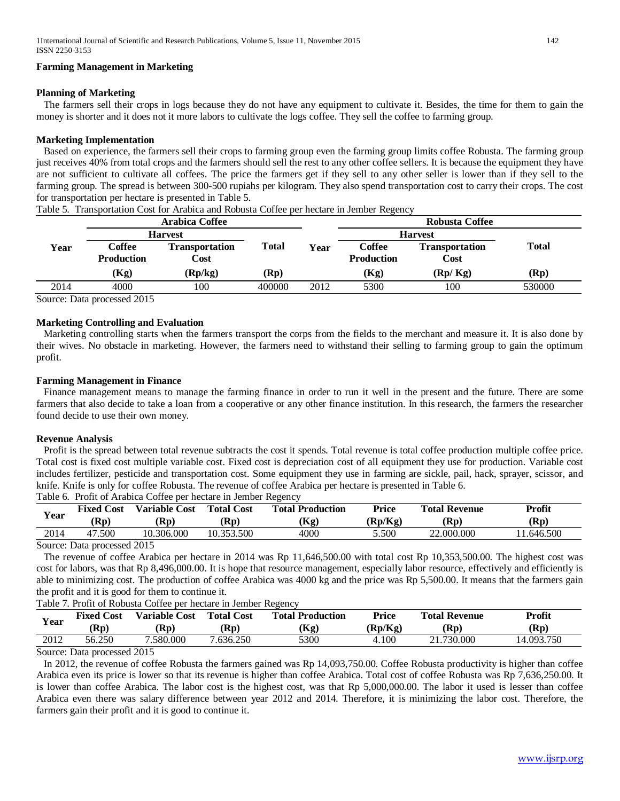## **Farming Management in Marketing**

#### **Planning of Marketing**

The farmers sell their crops in logs because they do not have any equipment to cultivate it. Besides, the time for them to gain the money is shorter and it does not it more labors to cultivate the logs coffee. They sell the coffee to farming group.

## **Marketing Implementation**

Based on experience, the farmers sell their crops to farming group even the farming group limits coffee Robusta. The farming group just receives 40% from total crops and the farmers should sell the rest to any other coffee sellers. It is because the equipment they have are not sufficient to cultivate all coffees. The price the farmers get if they sell to any other seller is lower than if they sell to the farming group. The spread is between 300-500 rupiahs per kilogram. They also spend transportation cost to carry their crops. The cost for transportation per hectare is presented in Table 5.

|      |                                                             | Arabica Coffee                |              |                | Robusta Coffee              |                               |        |  |
|------|-------------------------------------------------------------|-------------------------------|--------------|----------------|-----------------------------|-------------------------------|--------|--|
|      | <b>Harvest</b>                                              |                               |              | <b>Harvest</b> |                             |                               |        |  |
| Year | Coffee<br><b>Production</b>                                 | <b>Transportation</b><br>Cost | <b>Total</b> | Year           | Coffee<br><b>Production</b> | <b>Transportation</b><br>Cost | Total  |  |
|      | (Kg)                                                        | (Rp/kg)                       | (Rp)         |                | (Kg)                        | (Rp/Kg)                       | (Rp)   |  |
| 2014 | 4000                                                        | 100                           | 400000       | 2012           | 5300                        | 100                           | 530000 |  |
|      | $\mathcal{C}_{\text{out}}$ D <sub>ata</sub> measured $2015$ |                               |              |                |                             |                               |        |  |

Table 5. Transportation Cost for Arabica and Robusta Coffee per hectare in Jember Regency

Source: Data processed 2015

## **Marketing Controlling and Evaluation**

Marketing controlling starts when the farmers transport the corps from the fields to the merchant and measure it. It is also done by their wives. No obstacle in marketing. However, the farmers need to withstand their selling to farming group to gain the optimum profit.

## **Farming Management in Finance**

Finance management means to manage the farming finance in order to run it well in the present and the future. There are some farmers that also decide to take a loan from a cooperative or any other finance institution. In this research, the farmers the researcher found decide to use their own money.

#### **Revenue Analysis**

Profit is the spread between total revenue subtracts the cost it spends. Total revenue is total coffee production multiple coffee price. Total cost is fixed cost multiple variable cost. Fixed cost is depreciation cost of all equipment they use for production. Variable cost includes fertilizer, pesticide and transportation cost. Some equipment they use in farming are sickle, pail, hack, sprayer, scissor, and knife. Knife is only for coffee Robusta. The revenue of coffee Arabica per hectare is presented in Table 6.

Table 6. Profit of Arabica Coffee per hectare in Jember Regency **Year Fixed Cost Variable Cost Total Cost Total Production Price Total Revenue Profit**<br>  $(\mathbf{P}_{\mathbf{P}})(\mathbf{P}_{\mathbf{P}})$  **(D<sub>P</sub>**)</sub>  $(\mathbf{P}_{\mathbf{P}})(\mathbf{P}_{\mathbf{P}})$  **(D<sub>P</sub>**)</sub>  $(\mathbf{P}_{\mathbf{P}})(\mathbf{P}_{\mathbf{P}})$  **(D**<sub>P</sub>) **(Rp) (Rp) (Rp) (Kg) (Rp/Kg) (Rp) (Rp)** 2014 47.500 10.306.000 10.353.500 4000 5.500 22.000.000 11.646.500

Source: Data processed 2015

The revenue of coffee Arabica per hectare in 2014 was Rp 11,646,500.00 with total cost Rp 10,353,500.00. The highest cost was cost for labors, was that Rp 8,496,000.00. It is hope that resource management, especially labor resource, effectively and efficiently is able to minimizing cost. The production of coffee Arabica was 4000 kg and the price was Rp 5,500.00. It means that the farmers gain the profit and it is good for them to continue it.

#### Table 7. Profit of Robusta Coffee per hectare in Jember Regency

| Year | <b>Fixed</b><br>Cost<br>(Rp | Cost<br>$\sqrt{$ ariable $\sqrt{ }$<br>(Rn) | <b>Total Cost</b><br>(Rp) | <b>Total Production</b><br>(Kg) | Price<br>(Rp/Kg) | <b>Total Revenue</b><br>(Rp) | Profit<br>(Rp |
|------|-----------------------------|---------------------------------------------|---------------------------|---------------------------------|------------------|------------------------------|---------------|
| 2012 | 56.250                      | 7.580.000                                   | 7.636.250                 | 5300                            | 4.100            | .730.000<br>21               | 14.093.750    |

Source: Data processed 2015

In 2012, the revenue of coffee Robusta the farmers gained was Rp 14,093,750.00. Coffee Robusta productivity is higher than coffee Arabica even its price is lower so that its revenue is higher than coffee Arabica. Total cost of coffee Robusta was Rp 7,636,250.00. It is lower than coffee Arabica. The labor cost is the highest cost, was that Rp 5,000,000.00. The labor it used is lesser than coffee Arabica even there was salary difference between year 2012 and 2014. Therefore, it is minimizing the labor cost. Therefore, the farmers gain their profit and it is good to continue it.